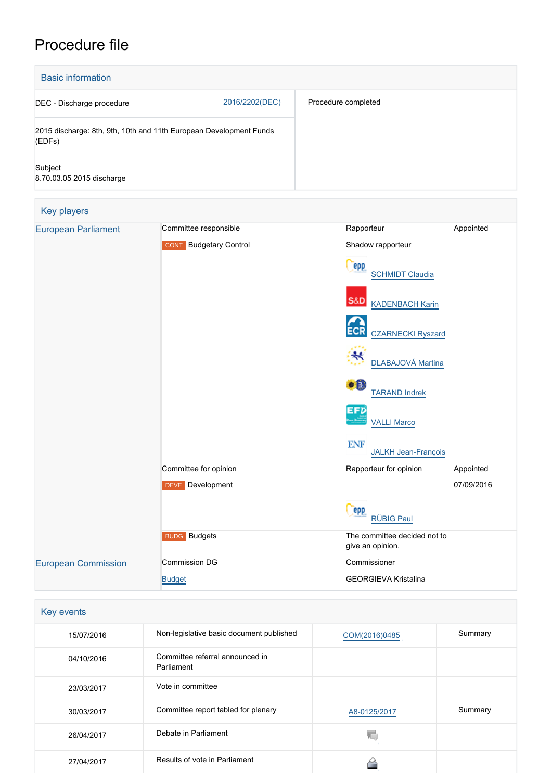# Procedure file

| <b>Basic information</b>             |                                                                    |                                                  |            |  |
|--------------------------------------|--------------------------------------------------------------------|--------------------------------------------------|------------|--|
| DEC - Discharge procedure            | 2016/2202(DEC)                                                     | Procedure completed                              |            |  |
| (EDFs)                               | 2015 discharge: 8th, 9th, 10th and 11th European Development Funds |                                                  |            |  |
| Subject<br>8.70.03.05 2015 discharge |                                                                    |                                                  |            |  |
| Key players                          |                                                                    |                                                  |            |  |
| <b>European Parliament</b>           | Committee responsible                                              | Rapporteur                                       | Appointed  |  |
|                                      | <b>CONT</b> Budgetary Control                                      | Shadow rapporteur                                |            |  |
|                                      |                                                                    | epp<br><b>SCHMIDT Claudia</b>                    |            |  |
|                                      |                                                                    | S&D KADENBACH Karin                              |            |  |
|                                      |                                                                    | <b>CZARNECKI Ryszard</b>                         |            |  |
|                                      |                                                                    | DLABAJOVÁ Martina                                |            |  |
|                                      |                                                                    | H.<br><b>TARAND Indrek</b>                       |            |  |
|                                      |                                                                    | EFD<br><b>VALLI Marco</b>                        |            |  |
|                                      |                                                                    | <b>ENF</b><br><b>JALKH Jean-François</b>         |            |  |
|                                      | Committee for opinion                                              | Rapporteur for opinion                           | Appointed  |  |
|                                      | <b>DEVE</b> Development                                            |                                                  | 07/09/2016 |  |
|                                      |                                                                    | <b>epp</b><br><b>RÜBIG Paul</b>                  |            |  |
|                                      | <b>BUDG</b> Budgets                                                | The committee decided not to<br>give an opinion. |            |  |
| <b>European Commission</b>           | <b>Commission DG</b>                                               | Commissioner                                     |            |  |
|                                      | <b>Budget</b>                                                      | <b>GEORGIEVA Kristalina</b>                      |            |  |

| Key events |                                               |               |         |
|------------|-----------------------------------------------|---------------|---------|
| 15/07/2016 | Non-legislative basic document published      | COM(2016)0485 | Summary |
| 04/10/2016 | Committee referral announced in<br>Parliament |               |         |
| 23/03/2017 | Vote in committee                             |               |         |
| 30/03/2017 | Committee report tabled for plenary           | A8-0125/2017  | Summary |
| 26/04/2017 | Debate in Parliament                          |               |         |
| 27/04/2017 | Results of vote in Parliament                 |               |         |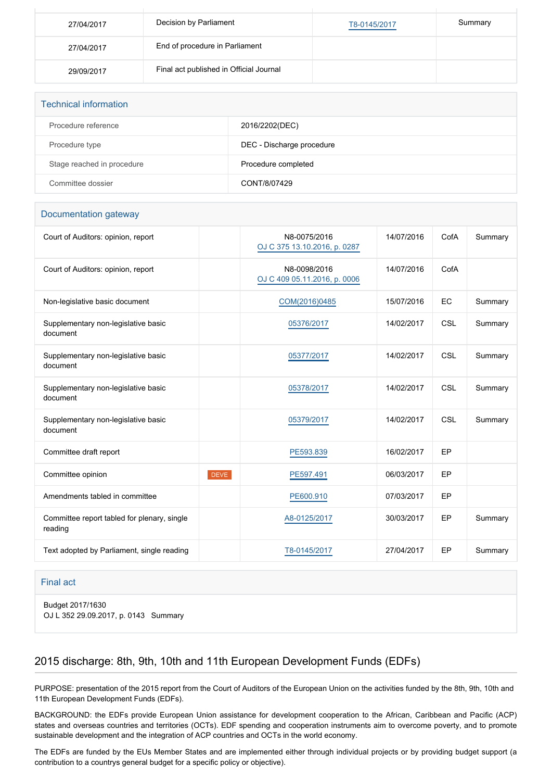| 27/04/2017 | Decision by Parliament                  | T8-0145/2017 | Summary |
|------------|-----------------------------------------|--------------|---------|
| 27/04/2017 | End of procedure in Parliament          |              |         |
| 29/09/2017 | Final act published in Official Journal |              |         |

| <b>Technical information</b> |                           |
|------------------------------|---------------------------|
| Procedure reference          | 2016/2202(DEC)            |
| Procedure type               | DEC - Discharge procedure |
| Stage reached in procedure   | Procedure completed       |
| Committee dossier            | CONT/8/07429              |

#### Documentation gateway

| Court of Auditors: opinion, report                     |             | N8-0075/2016<br>OJ C 375 13.10.2016, p. 0287 | 14/07/2016 | CofA | Summary |
|--------------------------------------------------------|-------------|----------------------------------------------|------------|------|---------|
| Court of Auditors: opinion, report                     |             | N8-0098/2016<br>OJ C 409 05.11.2016, p. 0006 | 14/07/2016 | CofA |         |
| Non-legislative basic document                         |             | COM(2016)0485                                | 15/07/2016 | EC   | Summary |
| Supplementary non-legislative basic<br>document        |             | 05376/2017                                   | 14/02/2017 | CSL  | Summary |
| Supplementary non-legislative basic<br>document        |             | 05377/2017                                   | 14/02/2017 | CSL  | Summary |
| Supplementary non-legislative basic<br>document        |             | 05378/2017                                   | 14/02/2017 | CSL  | Summary |
| Supplementary non-legislative basic<br>document        |             | 05379/2017                                   | 14/02/2017 | CSL  | Summary |
| Committee draft report                                 |             | PE593.839                                    | 16/02/2017 | EP   |         |
| Committee opinion                                      | <b>DEVE</b> | PE597.491                                    | 06/03/2017 | EP   |         |
| Amendments tabled in committee                         |             | PE600.910                                    | 07/03/2017 | EP   |         |
| Committee report tabled for plenary, single<br>reading |             | A8-0125/2017                                 | 30/03/2017 | EP   | Summary |
| Text adopted by Parliament, single reading             |             | T8-0145/2017                                 | 27/04/2017 | EP   | Summary |

#### Final act

Budget 2017/1630 OJ L 352 29.09.2017, p. 0143 Summary

## 2015 discharge: 8th, 9th, 10th and 11th European Development Funds (EDFs)

PURPOSE: presentation of the 2015 report from the Court of Auditors of the European Union on the activities funded by the 8th, 9th, 10th and 11th European Development Funds (EDFs).

BACKGROUND: the EDFs provide European Union assistance for development cooperation to the African, Caribbean and Pacific (ACP) states and overseas countries and territories (OCTs). EDF spending and cooperation instruments aim to overcome poverty, and to promote sustainable development and the integration of ACP countries and OCTs in the world economy.

The EDFs are funded by the EUs Member States and are implemented either through individual projects or by providing budget support (a contribution to a countrys general budget for a specific policy or objective).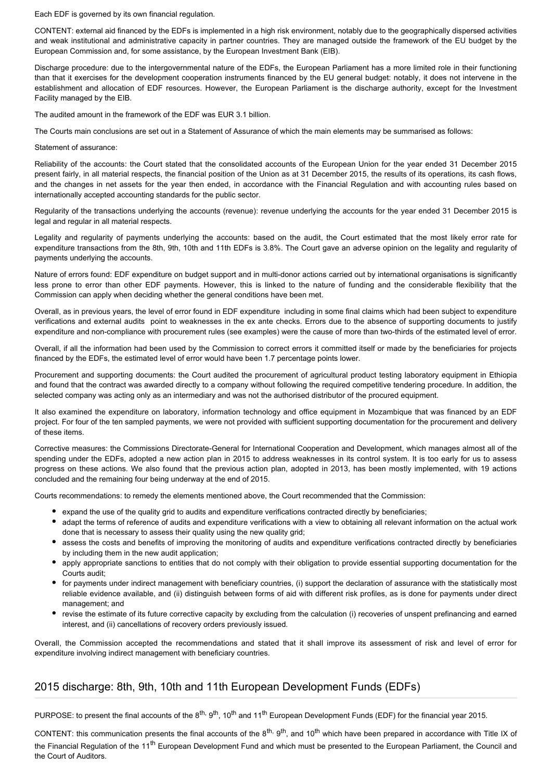Each EDF is governed by its own financial regulation.

CONTENT: external aid financed by the EDFs is implemented in a high risk environment, notably due to the geographically dispersed activities and weak institutional and administrative capacity in partner countries. They are managed outside the framework of the EU budget by the European Commission and, for some assistance, by the European Investment Bank (EIB).

Discharge procedure: due to the intergovernmental nature of the EDFs, the European Parliament has a more limited role in their functioning than that it exercises for the development cooperation instruments financed by the EU general budget: notably, it does not intervene in the establishment and allocation of EDF resources. However, the European Parliament is the discharge authority, except for the Investment Facility managed by the EIB.

The audited amount in the framework of the EDF was EUR 3.1 billion.

The Courts main conclusions are set out in a Statement of Assurance of which the main elements may be summarised as follows:

Statement of assurance:

Reliability of the accounts: the Court stated that the consolidated accounts of the European Union for the year ended 31 December 2015 present fairly, in all material respects, the financial position of the Union as at 31 December 2015, the results of its operations, its cash flows, and the changes in net assets for the year then ended, in accordance with the Financial Regulation and with accounting rules based on internationally accepted accounting standards for the public sector.

Regularity of the transactions underlying the accounts (revenue): revenue underlying the accounts for the year ended 31 December 2015 is legal and regular in all material respects.

Legality and regularity of payments underlying the accounts: based on the audit, the Court estimated that the most likely error rate for expenditure transactions from the 8th, 9th, 10th and 11th EDFs is 3.8%. The Court gave an adverse opinion on the legality and regularity of payments underlying the accounts.

Nature of errors found: EDF expenditure on budget support and in multi-donor actions carried out by international organisations is significantly less prone to error than other EDF payments. However, this is linked to the nature of funding and the considerable flexibility that the Commission can apply when deciding whether the general conditions have been met.

Overall, as in previous years, the level of error found in EDF expenditure including in some final claims which had been subject to expenditure verifications and external audits point to weaknesses in the ex ante checks. Errors due to the absence of supporting documents to justify expenditure and non-compliance with procurement rules (see examples) were the cause of more than two-thirds of the estimated level of error.

Overall, if all the information had been used by the Commission to correct errors it committed itself or made by the beneficiaries for projects financed by the EDFs, the estimated level of error would have been 1.7 percentage points lower.

Procurement and supporting documents: the Court audited the procurement of agricultural product testing laboratory equipment in Ethiopia and found that the contract was awarded directly to a company without following the required competitive tendering procedure. In addition, the selected company was acting only as an intermediary and was not the authorised distributor of the procured equipment.

It also examined the expenditure on laboratory, information technology and office equipment in Mozambique that was financed by an EDF project. For four of the ten sampled payments, we were not provided with sufficient supporting documentation for the procurement and delivery of these items.

Corrective measures: the Commissions Directorate-General for International Cooperation and Development, which manages almost all of the spending under the EDFs, adopted a new action plan in 2015 to address weaknesses in its control system. It is too early for us to assess progress on these actions. We also found that the previous action plan, adopted in 2013, has been mostly implemented, with 19 actions concluded and the remaining four being underway at the end of 2015.

Courts recommendations: to remedy the elements mentioned above, the Court recommended that the Commission:

- expand the use of the quality grid to audits and expenditure verifications contracted directly by beneficiaries;
- adapt the terms of reference of audits and expenditure verifications with a view to obtaining all relevant information on the actual work done that is necessary to assess their quality using the new quality grid;
- assess the costs and benefits of improving the monitoring of audits and expenditure verifications contracted directly by beneficiaries by including them in the new audit application;
- apply appropriate sanctions to entities that do not comply with their obligation to provide essential supporting documentation for the Courts audit;
- for payments under indirect management with beneficiary countries, (i) support the declaration of assurance with the statistically most reliable evidence available, and (ii) distinguish between forms of aid with different risk profiles, as is done for payments under direct management; and
- revise the estimate of its future corrective capacity by excluding from the calculation (i) recoveries of unspent prefinancing and earned interest, and (ii) cancellations of recovery orders previously issued.

Overall, the Commission accepted the recommendations and stated that it shall improve its assessment of risk and level of error for expenditure involving indirect management with beneficiary countries.

#### 2015 discharge: 8th, 9th, 10th and 11th European Development Funds (EDFs)

PURPOSE: to present the final accounts of the 8<sup>th, 9th</sup>, 10<sup>th</sup> and 11<sup>th</sup> European Development Funds (EDF) for the financial year 2015.

CONTENT: this communication presents the final accounts of the 8<sup>th, 9th</sup>, and 10<sup>th</sup> which have been prepared in accordance with Title IX of the Financial Regulation of the 11<sup>th</sup> European Development Fund and which must be presented to the European Parliament, the Council and the Court of Auditors.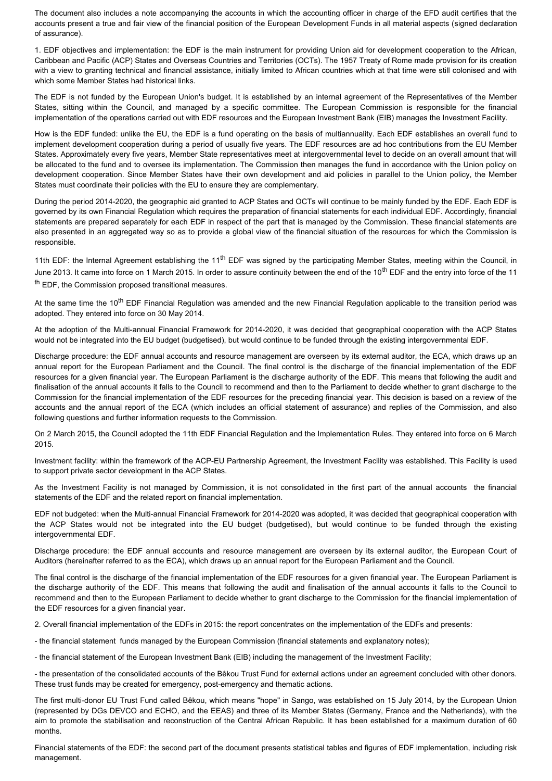The document also includes a note accompanying the accounts in which the accounting officer in charge of the EFD audit certifies that the accounts present a true and fair view of the financial position of the European Development Funds in all material aspects (signed declaration of assurance).

1. EDF objectives and implementation: the EDF is the main instrument for providing Union aid for development cooperation to the African, Caribbean and Pacific (ACP) States and Overseas Countries and Territories (OCTs). The 1957 Treaty of Rome made provision for its creation with a view to granting technical and financial assistance, initially limited to African countries which at that time were still colonised and with which some Member States had historical links.

The EDF is not funded by the European Union's budget. It is established by an internal agreement of the Representatives of the Member States, sitting within the Council, and managed by a specific committee. The European Commission is responsible for the financial implementation of the operations carried out with EDF resources and the European Investment Bank (EIB) manages the Investment Facility.

How is the EDF funded: unlike the EU, the EDF is a fund operating on the basis of multiannuality. Each EDF establishes an overall fund to implement development cooperation during a period of usually five years. The EDF resources are ad hoc contributions from the EU Member States. Approximately every five years, Member State representatives meet at intergovernmental level to decide on an overall amount that will be allocated to the fund and to oversee its implementation. The Commission then manages the fund in accordance with the Union policy on development cooperation. Since Member States have their own development and aid policies in parallel to the Union policy, the Member States must coordinate their policies with the EU to ensure they are complementary.

During the period 2014-2020, the geographic aid granted to ACP States and OCTs will continue to be mainly funded by the EDF. Each EDF is governed by its own Financial Regulation which requires the preparation of financial statements for each individual EDF. Accordingly, financial statements are prepared separately for each EDF in respect of the part that is managed by the Commission. These financial statements are also presented in an aggregated way so as to provide a global view of the financial situation of the resources for which the Commission is responsible.

11th EDF: the Internal Agreement establishing the 11<sup>th</sup> EDF was signed by the participating Member States, meeting within the Council, in June 2013. It came into force on 1 March 2015. In order to assure continuity between the end of the 10<sup>th</sup> EDF and the entry into force of the 11  $<sup>th</sup>$  EDF, the Commission proposed transitional measures.</sup>

At the same time the 10<sup>th</sup> EDF Financial Regulation was amended and the new Financial Regulation applicable to the transition period was adopted. They entered into force on 30 May 2014.

At the adoption of the Multi-annual Financial Framework for 2014-2020, it was decided that geographical cooperation with the ACP States would not be integrated into the EU budget (budgetised), but would continue to be funded through the existing intergovernmental EDF.

Discharge procedure: the EDF annual accounts and resource management are overseen by its external auditor, the ECA, which draws up an annual report for the European Parliament and the Council. The final control is the discharge of the financial implementation of the EDF resources for a given financial year. The European Parliament is the discharge authority of the EDF. This means that following the audit and finalisation of the annual accounts it falls to the Council to recommend and then to the Parliament to decide whether to grant discharge to the Commission for the financial implementation of the EDF resources for the preceding financial year. This decision is based on a review of the accounts and the annual report of the ECA (which includes an official statement of assurance) and replies of the Commission, and also following questions and further information requests to the Commission.

On 2 March 2015, the Council adopted the 11th EDF Financial Regulation and the Implementation Rules. They entered into force on 6 March 2015.

Investment facility: within the framework of the ACP-EU Partnership Agreement, the Investment Facility was established. This Facility is used to support private sector development in the ACP States.

As the Investment Facility is not managed by Commission, it is not consolidated in the first part of the annual accounts the financial statements of the EDF and the related report on financial implementation.

EDF not budgeted: when the Multi-annual Financial Framework for 2014-2020 was adopted, it was decided that geographical cooperation with the ACP States would not be integrated into the EU budget (budgetised), but would continue to be funded through the existing intergovernmental EDF.

Discharge procedure: the EDF annual accounts and resource management are overseen by its external auditor, the European Court of Auditors (hereinafter referred to as the ECA), which draws up an annual report for the European Parliament and the Council.

The final control is the discharge of the financial implementation of the EDF resources for a given financial year. The European Parliament is the discharge authority of the EDF. This means that following the audit and finalisation of the annual accounts it falls to the Council to recommend and then to the European Parliament to decide whether to grant discharge to the Commission for the financial implementation of the EDF resources for a given financial year.

2. Overall financial implementation of the EDFs in 2015: the report concentrates on the implementation of the EDFs and presents:

- the financial statement funds managed by the European Commission (financial statements and explanatory notes);

- the financial statement of the European Investment Bank (EIB) including the management of the Investment Facility;

- the presentation of the consolidated accounts of the Bêkou Trust Fund for external actions under an agreement concluded with other donors. These trust funds may be created for emergency, post-emergency and thematic actions.

The first multi-donor EU Trust Fund called Bêkou, which means "hope" in Sango, was established on 15 July 2014, by the European Union (represented by DGs DEVCO and ECHO, and the EEAS) and three of its Member States (Germany, France and the Netherlands), with the aim to promote the stabilisation and reconstruction of the Central African Republic. It has been established for a maximum duration of 60 months.

Financial statements of the EDF: the second part of the document presents statistical tables and figures of EDF implementation, including risk management.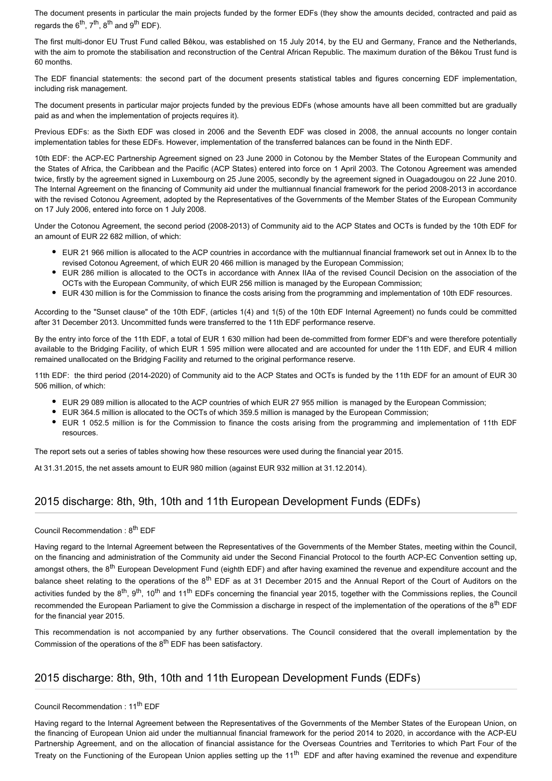The document presents in particular the main projects funded by the former EDFs (they show the amounts decided, contracted and paid as regards the  $6<sup>th</sup>$ ,  $7<sup>th</sup>$ ,  $8<sup>th</sup>$  and  $9<sup>th</sup>$  EDF).

The first multi-donor EU Trust Fund called Bêkou, was established on 15 July 2014, by the EU and Germany, France and the Netherlands, with the aim to promote the stabilisation and reconstruction of the Central African Republic. The maximum duration of the Bêkou Trust fund is 60 months.

The EDF financial statements: the second part of the document presents statistical tables and figures concerning EDF implementation, including risk management.

The document presents in particular major projects funded by the previous EDFs (whose amounts have all been committed but are gradually paid as and when the implementation of projects requires it).

Previous EDFs: as the Sixth EDF was closed in 2006 and the Seventh EDF was closed in 2008, the annual accounts no longer contain implementation tables for these EDFs. However, implementation of the transferred balances can be found in the Ninth EDF.

10th EDF: the ACP-EC Partnership Agreement signed on 23 June 2000 in Cotonou by the Member States of the European Community and the States of Africa, the Caribbean and the Pacific (ACP States) entered into force on 1 April 2003. The Cotonou Agreement was amended twice, firstly by the agreement signed in Luxembourg on 25 June 2005, secondly by the agreement signed in Ouagadougou on 22 June 2010. The Internal Agreement on the financing of Community aid under the multiannual financial framework for the period 2008-2013 in accordance with the revised Cotonou Agreement, adopted by the Representatives of the Governments of the Member States of the European Community on 17 July 2006, entered into force on 1 July 2008.

Under the Cotonou Agreement, the second period (2008-2013) of Community aid to the ACP States and OCTs is funded by the 10th EDF for an amount of EUR 22 682 million, of which:

- EUR 21 966 million is allocated to the ACP countries in accordance with the multiannual financial framework set out in Annex Ib to the revised Cotonou Agreement, of which EUR 20 466 million is managed by the European Commission;
- EUR 286 million is allocated to the OCTs in accordance with Annex IIAa of the revised Council Decision on the association of the OCTs with the European Community, of which EUR 256 million is managed by the European Commission;
- EUR 430 million is for the Commission to finance the costs arising from the programming and implementation of 10th EDF resources.

According to the "Sunset clause" of the 10th EDF, (articles 1(4) and 1(5) of the 10th EDF Internal Agreement) no funds could be committed after 31 December 2013. Uncommitted funds were transferred to the 11th EDF performance reserve.

By the entry into force of the 11th EDF, a total of EUR 1 630 million had been de-committed from former EDF's and were therefore potentially available to the Bridging Facility, of which EUR 1 595 million were allocated and are accounted for under the 11th EDF, and EUR 4 million remained unallocated on the Bridging Facility and returned to the original performance reserve.

11th EDF: the third period (2014-2020) of Community aid to the ACP States and OCTs is funded by the 11th EDF for an amount of EUR 30 506 million, of which:

- EUR 29 089 million is allocated to the ACP countries of which EUR 27 955 million is managed by the European Commission;
- EUR 364.5 million is allocated to the OCTs of which 359.5 million is managed by the European Commission;
- EUR 1 052.5 million is for the Commission to finance the costs arising from the programming and implementation of 11th EDF resources.

The report sets out a series of tables showing how these resources were used during the financial year 2015.

At 31.31.2015, the net assets amount to EUR 980 million (against EUR 932 million at 31.12.2014).

#### 2015 discharge: 8th, 9th, 10th and 11th European Development Funds (EDFs)

#### Council Recommendation : 8<sup>th</sup> EDF

Having regard to the Internal Agreement between the Representatives of the Governments of the Member States, meeting within the Council, on the financing and administration of the Community aid under the Second Financial Protocol to the fourth ACP-EC Convention setting up, amongst others, the 8<sup>th</sup> European Development Fund (eighth EDF) and after having examined the revenue and expenditure account and the balance sheet relating to the operations of the 8<sup>th</sup> EDF as at 31 December 2015 and the Annual Report of the Court of Auditors on the activities funded by the  $8^{th}$ ,  $9^{th}$ , 10<sup>th</sup> and 11<sup>th</sup> EDFs concerning the financial year 2015, together with the Commissions replies, the Council recommended the European Parliament to give the Commission a discharge in respect of the implementation of the operations of the  $8^{th}$  EDF for the financial year 2015.

This recommendation is not accompanied by any further observations. The Council considered that the overall implementation by the Commission of the operations of the  $8<sup>th</sup>$  EDF has been satisfactory.

## 2015 discharge: 8th, 9th, 10th and 11th European Development Funds (EDFs)

Council Recommendation : 11<sup>th</sup> FDF

Having regard to the Internal Agreement between the Representatives of the Governments of the Member States of the European Union, on the financing of European Union aid under the multiannual financial framework for the period 2014 to 2020, in accordance with the ACP-EU Partnership Agreement, and on the allocation of financial assistance for the Overseas Countries and Territories to which Part Four of the Treaty on the Functioning of the European Union applies setting up the 11<sup>th</sup> EDF and after having examined the revenue and expenditure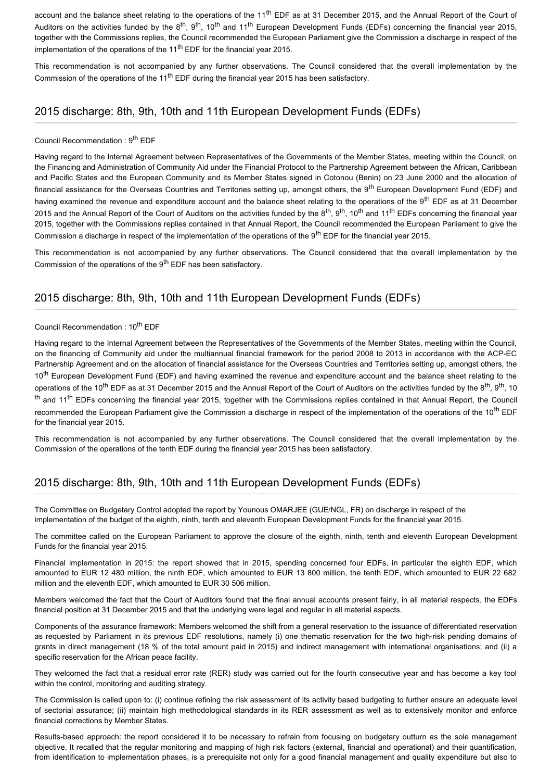account and the balance sheet relating to the operations of the 11<sup>th</sup> EDF as at 31 December 2015, and the Annual Report of the Court of Auditors on the activities funded by the 8<sup>th</sup>, 9<sup>th</sup>, 10<sup>th</sup> and 11<sup>th</sup> European Development Funds (EDFs) concerning the financial year 2015. together with the Commissions replies, the Council recommended the European Parliament give the Commission a discharge in respect of the implementation of the operations of the  $11<sup>th</sup>$  EDF for the financial year 2015.

This recommendation is not accompanied by any further observations. The Council considered that the overall implementation by the Commission of the operations of the 11<sup>th</sup> EDF during the financial year 2015 has been satisfactory.

### 2015 discharge: 8th, 9th, 10th and 11th European Development Funds (EDFs)

#### Council Recommendation : 9<sup>th</sup> EDF

Having regard to the Internal Agreement between Representatives of the Governments of the Member States, meeting within the Council, on the Financing and Administration of Community Aid under the Financial Protocol to the Partnership Agreement between the African, Caribbean and Pacific States and the European Community and its Member States signed in Cotonou (Benin) on 23 June 2000 and the allocation of financial assistance for the Overseas Countries and Territories setting up, amongst others, the 9<sup>th</sup> European Development Fund (EDF) and having examined the revenue and expenditure account and the balance sheet relating to the operations of the 9<sup>th</sup> EDF as at 31 December 2015 and the Annual Report of the Court of Auditors on the activities funded by the  $8^{th}$ ,  $9^{th}$ ,  $10^{th}$  and  $11^{th}$  EDFs concerning the financial year 2015, together with the Commissions replies contained in that Annual Report, the Council recommended the European Parliament to give the Commission a discharge in respect of the implementation of the operations of the 9<sup>th</sup> EDF for the financial year 2015.

This recommendation is not accompanied by any further observations. The Council considered that the overall implementation by the Commission of the operations of the  $9<sup>th</sup>$  EDF has been satisfactory.

#### 2015 discharge: 8th, 9th, 10th and 11th European Development Funds (EDFs)

#### Council Recommendation : 10<sup>th</sup> EDF

Having regard to the Internal Agreement between the Representatives of the Governments of the Member States, meeting within the Council, on the financing of Community aid under the multiannual financial framework for the period 2008 to 2013 in accordance with the ACP-EC Partnership Agreement and on the allocation of financial assistance for the Overseas Countries and Territories setting up, amongst others, the 10<sup>th</sup> European Development Fund (EDF) and having examined the revenue and expenditure account and the balance sheet relating to the operations of the 10<sup>th</sup> EDF as at 31 December 2015 and the Annual Report of the Court of Auditors on the activities funded by the 8<sup>th</sup>, 9<sup>th</sup>, 10  $<sup>th</sup>$  and 11<sup>th</sup> EDFs concerning the financial year 2015, together with the Commissions replies contained in that Annual Report, the Council</sup> recommended the European Parliament give the Commission a discharge in respect of the implementation of the operations of the 10<sup>th</sup> EDF for the financial year 2015.

This recommendation is not accompanied by any further observations. The Council considered that the overall implementation by the Commission of the operations of the tenth EDF during the financial year 2015 has been satisfactory.

## 2015 discharge: 8th, 9th, 10th and 11th European Development Funds (EDFs)

The Committee on Budgetary Control adopted the report by Younous OMARJEE (GUE/NGL, FR) on discharge in respect of the implementation of the budget of the eighth, ninth, tenth and eleventh European Development Funds for the financial year 2015.

The committee called on the European Parliament to approve the closure of the eighth, ninth, tenth and eleventh European Development Funds for the financial year 2015.

Financial implementation in 2015: the report showed that in 2015, spending concerned four EDFs, in particular the eighth EDF, which amounted to EUR 12 480 million, the ninth EDF, which amounted to EUR 13 800 million, the tenth EDF, which amounted to EUR 22 682 million and the eleventh EDF, which amounted to EUR 30 506 million.

Members welcomed the fact that the Court of Auditors found that the final annual accounts present fairly, in all material respects, the EDFs financial position at 31 December 2015 and that the underlying were legal and regular in all material aspects.

Components of the assurance framework: Members welcomed the shift from a general reservation to the issuance of differentiated reservation as requested by Parliament in its previous EDF resolutions, namely (i) one thematic reservation for the two high-risk pending domains of grants in direct management (18 % of the total amount paid in 2015) and indirect management with international organisations; and (ii) a specific reservation for the African peace facility.

They welcomed the fact that a residual error rate (RER) study was carried out for the fourth consecutive year and has become a key tool within the control, monitoring and auditing strategy.

The Commission is called upon to: (i) continue refining the risk assessment of its activity based budgeting to further ensure an adequate level of sectorial assurance; (ii) maintain high methodological standards in its RER assessment as well as to extensively monitor and enforce financial corrections by Member States.

Results-based approach: the report considered it to be necessary to refrain from focusing on budgetary outturn as the sole management objective. It recalled that the regular monitoring and mapping of high risk factors (external, financial and operational) and their quantification, from identification to implementation phases, is a prerequisite not only for a good financial management and quality expenditure but also to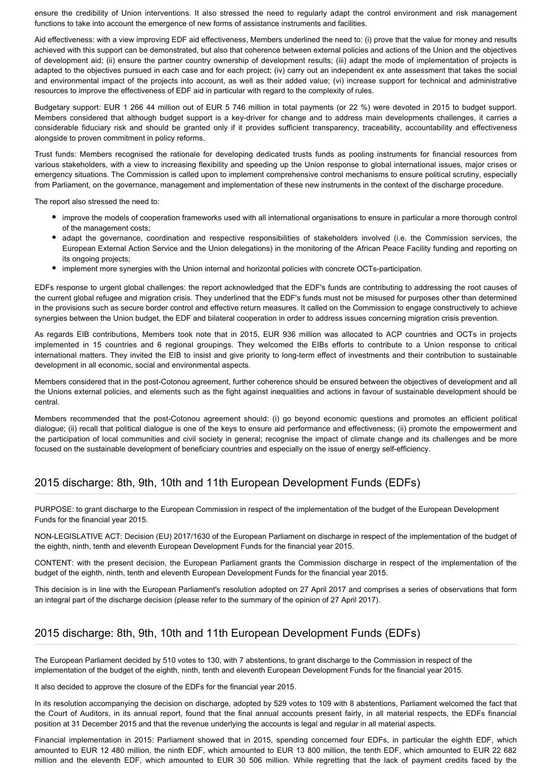ensure the credibility of Union interventions. It also stressed the need to regularly adapt the control environment and risk management functions to take into account the emergence of new forms of assistance instruments and facilities.

Aid effectiveness: with a view improving EDF aid effectiveness, Members underlined the need to: (i) prove that the value for money and results achieved with this support can be demonstrated, but also that coherence between external policies and actions of the Union and the objectives of development aid; (ii) ensure the partner country ownership of development results; (iii) adapt the mode of implementation of projects is adapted to the objectives pursued in each case and for each project; (iv) carry out an independent ex ante assessment that takes the social and environmental impact of the projects into account, as well as their added value; (vi) increase support for technical and administrative resources to improve the effectiveness of EDF aid in particular with regard to the complexity of rules.

Budgetary support: EUR 1 266 44 million out of EUR 5 746 million in total payments (or 22 %) were devoted in 2015 to budget support. Members considered that although budget support is a key-driver for change and to address main developments challenges, it carries a considerable fiduciary risk and should be granted only if it provides sufficient transparency, traceability, accountability and effectiveness alongside to proven commitment in policy reforms.

Trust funds: Members recognised the rationale for developing dedicated trusts funds as pooling instruments for financial resources from various stakeholders, with a view to increasing flexibility and speeding up the Union response to global international issues, major crises or emergency situations. The Commission is called upon to implement comprehensive control mechanisms to ensure political scrutiny, especially from Parliament, on the governance, management and implementation of these new instruments in the context of the discharge procedure.

The report also stressed the need to:

- improve the models of cooperation frameworks used with all international organisations to ensure in particular a more thorough control of the management costs;
- adapt the governance, coordination and respective responsibilities of stakeholders involved (i.e. the Commission services, the European External Action Service and the Union delegations) in the monitoring of the African Peace Facility funding and reporting on its ongoing projects;
- implement more synergies with the Union internal and horizontal policies with concrete OCTs-participation.

EDFs response to urgent global challenges: the report acknowledged that the EDF's funds are contributing to addressing the root causes of the current global refugee and migration crisis. They underlined that the EDF's funds must not be misused for purposes other than determined in the provisions such as secure border control and effective return measures. It called on the Commission to engage constructively to achieve synergies between the Union budget, the EDF and bilateral cooperation in order to address issues concerning migration crisis prevention.

As regards EIB contributions, Members took note that in 2015, EUR 936 million was allocated to ACP countries and OCTs in projects implemented in 15 countries and 6 regional groupings. They welcomed the EIBs efforts to contribute to a Union response to critical international matters. They invited the EIB to insist and give priority to long-term effect of investments and their contribution to sustainable development in all economic, social and environmental aspects.

Members considered that in the post-Cotonou agreement, further coherence should be ensured between the objectives of development and all the Unions external policies, and elements such as the fight against inequalities and actions in favour of sustainable development should be central.

Members recommended that the post-Cotonou agreement should: (i) go beyond economic questions and promotes an efficient political dialogue; (ii) recall that political dialogue is one of the keys to ensure aid performance and effectiveness; (ii) promote the empowerment and the participation of local communities and civil society in general; recognise the impact of climate change and its challenges and be more focused on the sustainable development of beneficiary countries and especially on the issue of energy self-efficiency.

# 2015 discharge: 8th, 9th, 10th and 11th European Development Funds (EDFs)

PURPOSE: to grant discharge to the European Commission in respect of the implementation of the budget of the European Development Funds for the financial year 2015.

NON-LEGISLATIVE ACT: Decision (EU) 2017/1630 of the European Parliament on discharge in respect of the implementation of the budget of the eighth, ninth, tenth and eleventh European Development Funds for the financial year 2015.

CONTENT: with the present decision, the European Parliament grants the Commission discharge in respect of the implementation of the budget of the eighth, ninth, tenth and eleventh European Development Funds for the financial year 2015.

This decision is in line with the European Parliament's resolution adopted on 27 April 2017 and comprises a series of observations that form an integral part of the discharge decision (please refer to the summary of the opinion of 27 April 2017).

# 2015 discharge: 8th, 9th, 10th and 11th European Development Funds (EDFs)

The European Parliament decided by 510 votes to 130, with 7 abstentions, to grant discharge to the Commission in respect of the implementation of the budget of the eighth, ninth, tenth and eleventh European Development Funds for the financial year 2015.

It also decided to approve the closure of the EDFs for the financial year 2015.

In its resolution accompanying the decision on discharge, adopted by 529 votes to 109 with 8 abstentions, Parliament welcomed the fact that the Court of Auditors, in its annual report, found that the final annual accounts present fairly, in all material respects, the EDFs financial position at 31 December 2015 and that the revenue underlying the accounts is legal and regular in all material aspects.

Financial implementation in 2015: Parliament showed that in 2015, spending concerned four EDFs, in particular the eighth EDF, which amounted to EUR 12 480 million, the ninth EDF, which amounted to EUR 13 800 million, the tenth EDF, which amounted to EUR 22 682 million and the eleventh EDF, which amounted to EUR 30 506 million. While regretting that the lack of payment credits faced by the